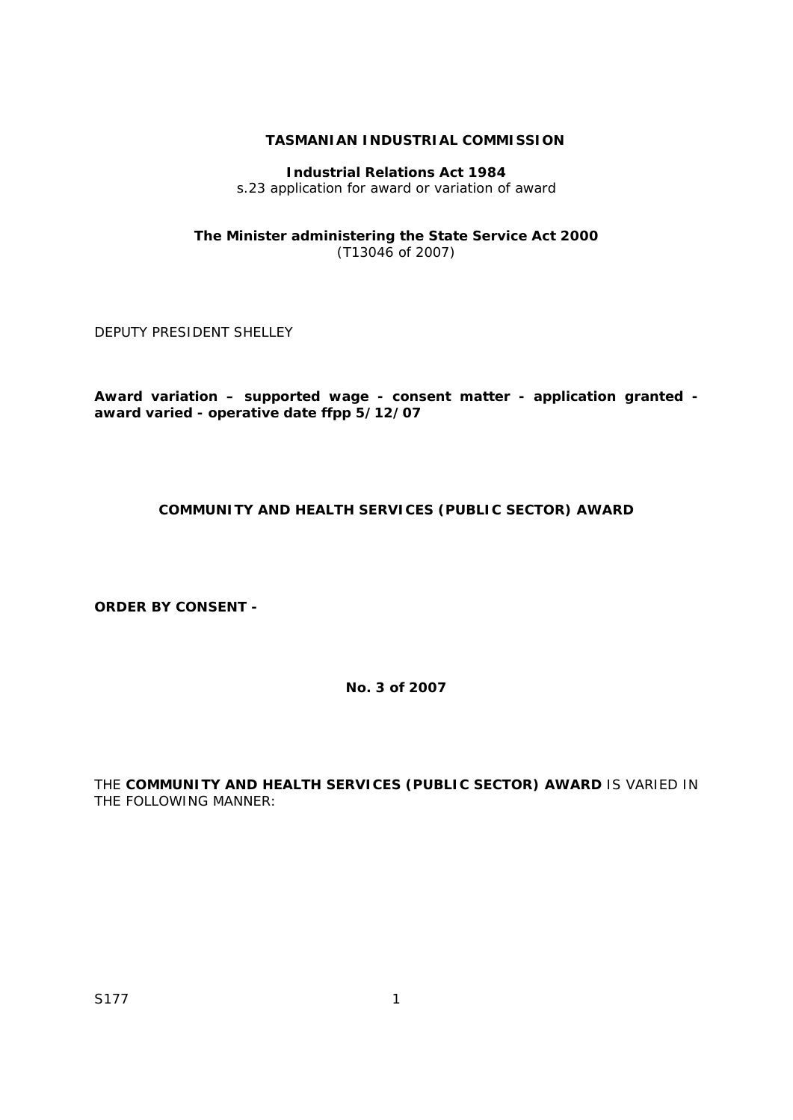# **TASMANIAN INDUSTRIAL COMMISSION**

## **Industrial Relations Act 1984**

s.23 application for award or variation of award

#### **The Minister administering the State Service Act 2000**  (T13046 of 2007)

DEPUTY PRESIDENT SHELLEY

**Award variation – supported wage - consent matter - application granted award varied - operative date ffpp 5/12/07** 

# **COMMUNITY AND HEALTH SERVICES (PUBLIC SECTOR) AWARD**

**ORDER BY CONSENT -** 

**No. 3 of 2007** 

THE **COMMUNITY AND HEALTH SERVICES (PUBLIC SECTOR) AWARD** IS VARIED IN THE FOLLOWING MANNER: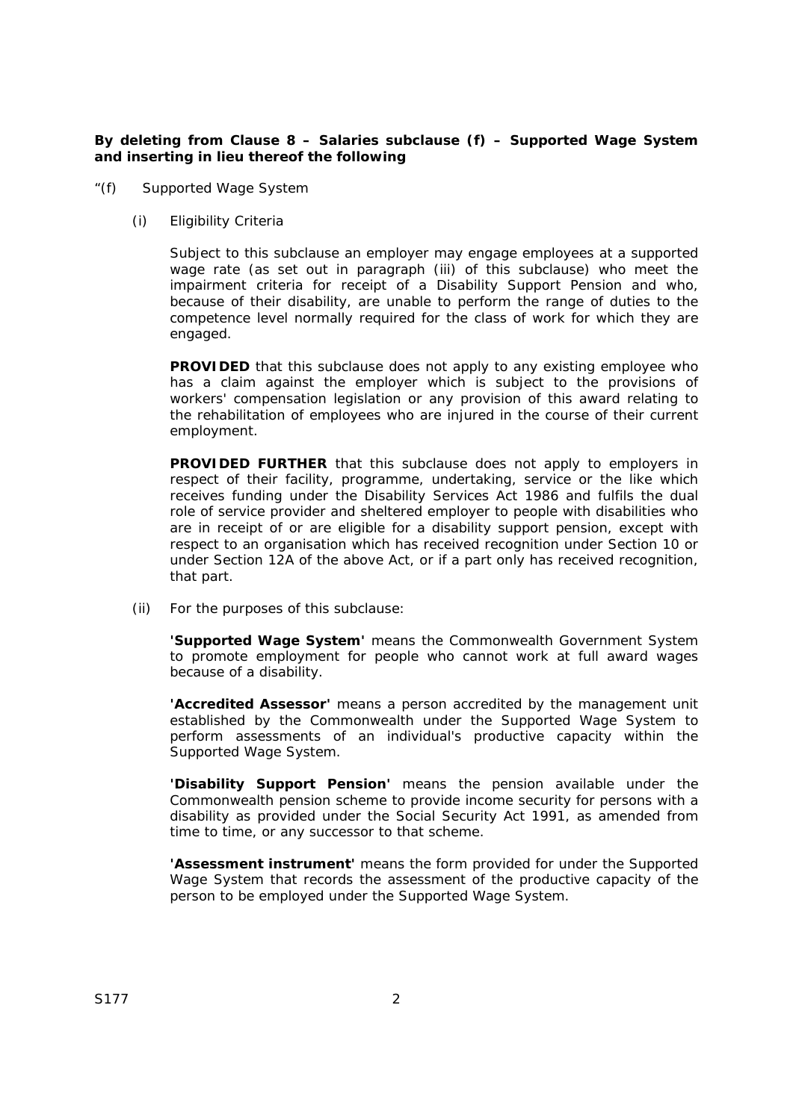## **By deleting from Clause 8 – Salaries subclause (f) – Supported Wage System and inserting in lieu thereof the following**

- "(f) Supported Wage System
	- (i) Eligibility Criteria

 Subject to this subclause an employer may engage employees at a supported wage rate (as set out in paragraph (iii) of this subclause) who meet the impairment criteria for receipt of a Disability Support Pension and who, because of their disability, are unable to perform the range of duties to the competence level normally required for the class of work for which they are engaged.

**PROVIDED** that this subclause does not apply to any existing employee who has a claim against the employer which is subject to the provisions of workers' compensation legislation or any provision of this award relating to the rehabilitation of employees who are injured in the course of their current employment.

**PROVIDED FURTHER** that this subclause does not apply to employers in respect of their facility, programme, undertaking, service or the like which receives funding under the *Disability Services Act 1986* and fulfils the dual role of service provider and sheltered employer to people with disabilities who are in receipt of or are eligible for a disability support pension, except with respect to an organisation which has received recognition under Section 10 or under Section 12A of the above Act, or if a part only has received recognition, that part.

(ii) For the purposes of this subclause:

**'Supported Wage System'** means the Commonwealth Government System to promote employment for people who cannot work at full award wages because of a disability.

**'Accredited Assessor'** means a person accredited by the management unit established by the Commonwealth under the Supported Wage System to perform assessments of an individual's productive capacity within the Supported Wage System.

**'Disability Support Pension'** means the pension available under the Commonwealth pension scheme to provide income security for persons with a disability as provided under the *Social Security Act 1991*, as amended from time to time, or any successor to that scheme.

**'Assessment instrument'** means the form provided for under the Supported Wage System that records the assessment of the productive capacity of the person to be employed under the Supported Wage System.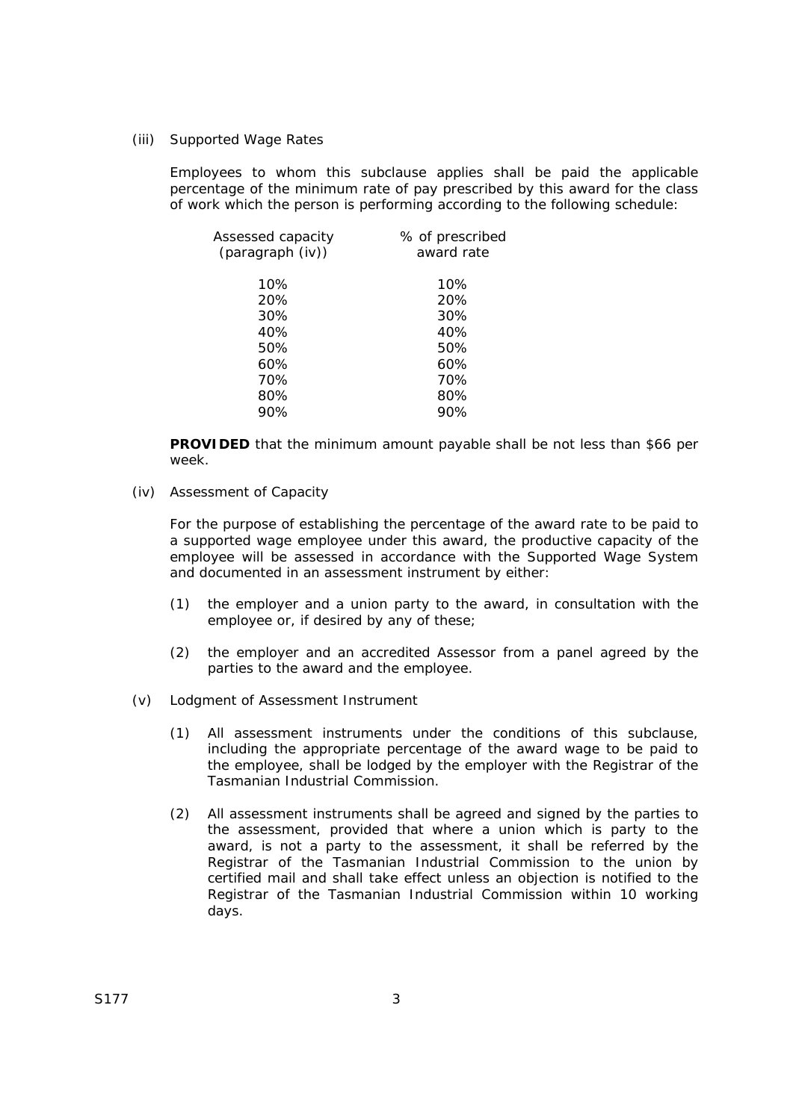(iii) Supported Wage Rates

 Employees to whom this subclause applies shall be paid the applicable percentage of the minimum rate of pay prescribed by this award for the class of work which the person is performing according to the following schedule:

| Assessed capacity<br>(paragraph (iv)) | % of prescribed<br>award rate |
|---------------------------------------|-------------------------------|
|                                       |                               |
| 10%                                   | 10%                           |
| 20%                                   | 20%                           |
| 30%                                   | 30%                           |
| 40%                                   | 40%                           |
| 50%                                   | 50%                           |
| 60%                                   | 60%                           |
| 70%                                   | 70%                           |
| 80%                                   | 80%                           |
| 90%                                   | 90%                           |

**PROVIDED** that the minimum amount payable shall be not less than \$66 per week.

(iv) Assessment of Capacity

 For the purpose of establishing the percentage of the award rate to be paid to a supported wage employee under this award, the productive capacity of the employee will be assessed in accordance with the Supported Wage System and documented in an assessment instrument by either:

- (1) the employer and a union party to the award, in consultation with the employee or, if desired by any of these;
- (2) the employer and an accredited Assessor from a panel agreed by the parties to the award and the employee.
- (v) Lodgment of Assessment Instrument
	- (1) All assessment instruments under the conditions of this subclause, including the appropriate percentage of the award wage to be paid to the employee, shall be lodged by the employer with the Registrar of the Tasmanian Industrial Commission.
	- (2) All assessment instruments shall be agreed and signed by the parties to the assessment, provided that where a union which is party to the award, is not a party to the assessment, it shall be referred by the Registrar of the Tasmanian Industrial Commission to the union by certified mail and shall take effect unless an objection is notified to the Registrar of the Tasmanian Industrial Commission within 10 working days.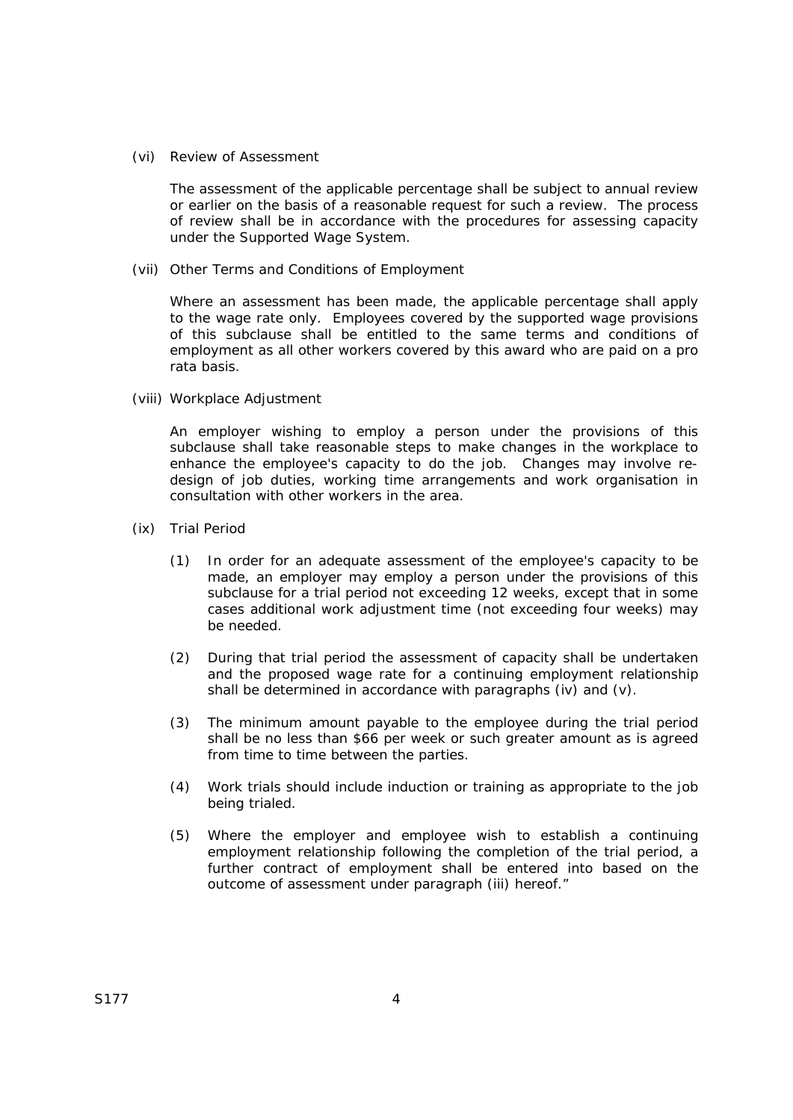(vi) Review of Assessment

 The assessment of the applicable percentage shall be subject to annual review or earlier on the basis of a reasonable request for such a review. The process of review shall be in accordance with the procedures for assessing capacity under the Supported Wage System.

(vii) Other Terms and Conditions of Employment

 Where an assessment has been made, the applicable percentage shall apply to the wage rate only. Employees covered by the supported wage provisions of this subclause shall be entitled to the same terms and conditions of employment as all other workers covered by this award who are paid on a pro rata basis.

(viii) Workplace Adjustment

 An employer wishing to employ a person under the provisions of this subclause shall take reasonable steps to make changes in the workplace to enhance the employee's capacity to do the job. Changes may involve redesign of job duties, working time arrangements and work organisation in consultation with other workers in the area.

- (ix) Trial Period
	- (1) In order for an adequate assessment of the employee's capacity to be made, an employer may employ a person under the provisions of this subclause for a trial period not exceeding 12 weeks, except that in some cases additional work adjustment time (not exceeding four weeks) may be needed.
	- (2) During that trial period the assessment of capacity shall be undertaken and the proposed wage rate for a continuing employment relationship shall be determined in accordance with paragraphs (iv) and (v).
	- (3) The minimum amount payable to the employee during the trial period shall be no less than \$66 per week or such greater amount as is agreed from time to time between the parties.
	- (4) Work trials should include induction or training as appropriate to the job being trialed.
	- (5) Where the employer and employee wish to establish a continuing employment relationship following the completion of the trial period, a further contract of employment shall be entered into based on the outcome of assessment under paragraph (iii) hereof."